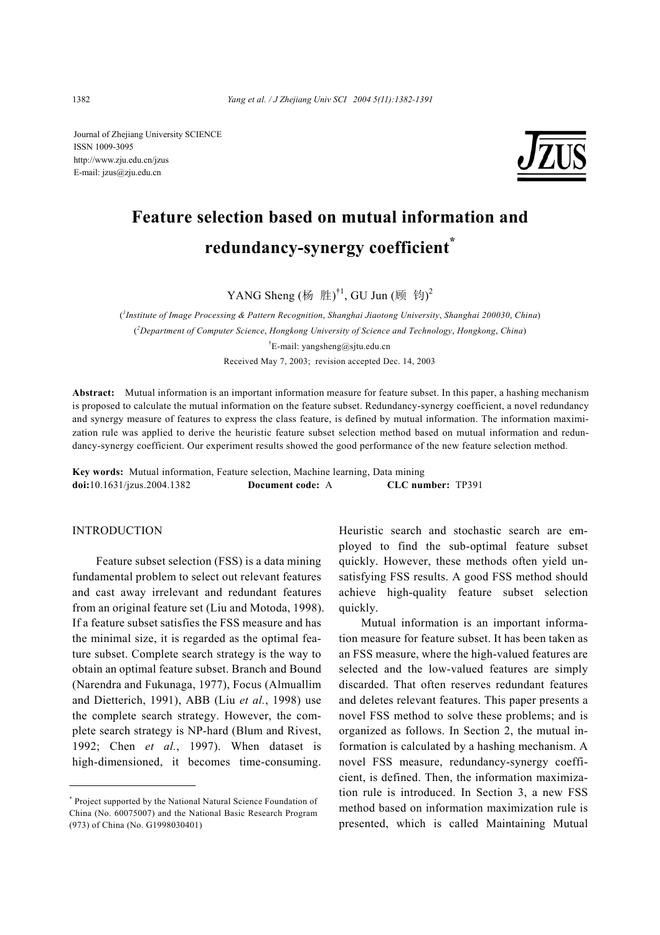Journal of Zhejiang University SCIENCE ISSN 1009-3095 http://www.zju.edu.cn/jzus E-mail: jzus@zju.edu.cn



# **Feature selection based on mutual information and redundancy-synergy coefficient\***

YANG Sheng (杨 胜)<sup>†1</sup>, GU Jun (顾 钧)<sup>2</sup>

( *1 Institute of Image Processing & Pattern Recognition*, *Shanghai Jiaotong University*, *Shanghai 200030*, *China*) ( *2 Department of Computer Science*, *Hongkong University of Science and Technology*, *Hongkong*, *China*) <sup>†</sup>E-mail: yangsheng@sjtu.edu.cn Received May 7, 2003; revision accepted Dec. 14, 2003

**Abstract:** Mutual information is an important information measure for feature subset. In this paper, a hashing mechanism is proposed to calculate the mutual information on the feature subset. Redundancy-synergy coefficient, a novel redundancy and synergy measure of features to express the class feature, is defined by mutual information. The information maximization rule was applied to derive the heuristic feature subset selection method based on mutual information and redundancy-synergy coefficient. Our experiment results showed the good performance of the new feature selection method.

**Key words:** Mutual information, Feature selection, Machine learning, Data mining **doi:**10.1631/jzus.2004.1382 **Document code:** A **CLC number:** TP391

## **INTRODUCTION**

Feature subset selection (FSS) is a data mining fundamental problem to select out relevant features and cast away irrelevant and redundant features from an original feature set (Liu and Motoda, 1998). If a feature subset satisfies the FSS measure and has the minimal size, it is regarded as the optimal feature subset. Complete search strategy is the way to obtain an optimal feature subset. Branch and Bound (Narendra and Fukunaga, 1977), Focus (Almuallim and Dietterich, 1991), ABB (Liu *et al.*, 1998) use the complete search strategy. However, the complete search strategy is NP-hard (Blum and Rivest, 1992; Chen *et al.*, 1997). When dataset is high-dimensioned, it becomes time-consuming.

Heuristic search and stochastic search are employed to find the sub-optimal feature subset quickly. However, these methods often yield unsatisfying FSS results. A good FSS method should achieve high-quality feature subset selection quickly.

Mutual information is an important information measure for feature subset. It has been taken as an FSS measure, where the high-valued features are selected and the low-valued features are simply discarded. That often reserves redundant features and deletes relevant features. This paper presents a novel FSS method to solve these problems; and is organized as follows. In Section 2, the mutual information is calculated by a hashing mechanism. A novel FSS measure, redundancy-synergy coefficient, is defined. Then, the information maximization rule is introduced. In Section 3, a new FSS method based on information maximization rule is presented, which is called Maintaining Mutual

<sup>\*</sup> Project supported by the National Natural Science Foundation of China (No. 60075007) and the National Basic Research Program (973) of China (No. G1998030401)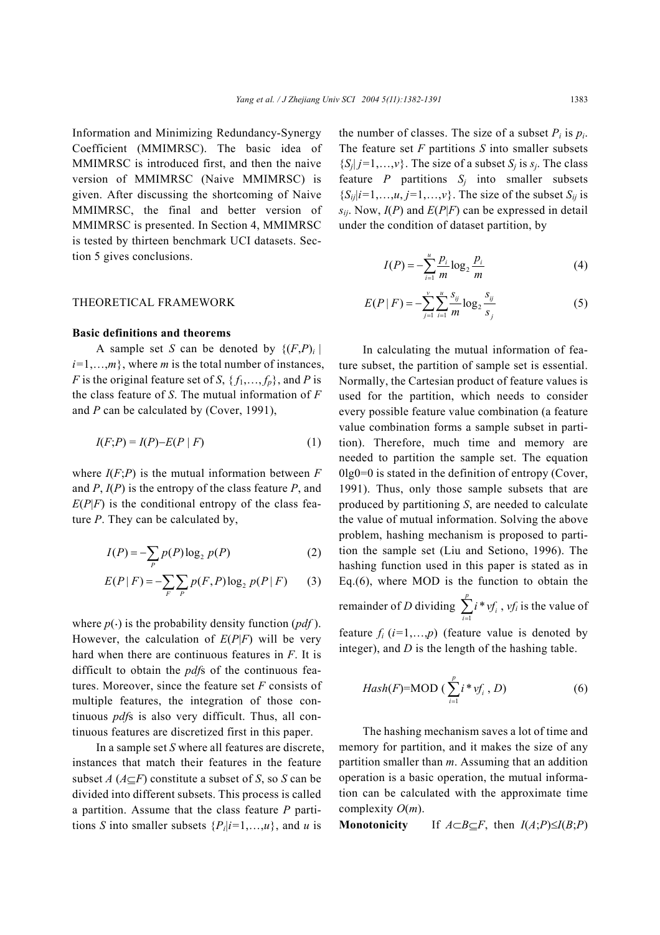Information and Minimizing Redundancy-Synergy Coefficient (MMIMRSC). The basic idea of MMIMRSC is introduced first, and then the naive version of MMIMRSC (Naive MMIMRSC) is given. After discussing the shortcoming of Naive MMIMRSC, the final and better version of MMIMRSC is presented. In Section 4, MMIMRSC is tested by thirteen benchmark UCI datasets. Section 5 gives conclusions.

#### THEORETICAL FRAMEWORK

#### **Basic definitions and theorems**

A sample set *S* can be denoted by  $\{(F,P)_i \mid$  $i=1,...,m$ , where *m* is the total number of instances, *F* is the original feature set of *S*,  $\{f_1, \ldots, f_p\}$ , and *P* is the class feature of *S*. The mutual information of *F* and *P* can be calculated by (Cover, 1991),

$$
I(F;P) = I(P) - E(P \mid F) \tag{1}
$$

where  $I(F;P)$  is the mutual information between  $F$ and *P*, *I*(*P*) is the entropy of the class feature *P*, and  $E(P|F)$  is the conditional entropy of the class feature *P*. They can be calculated by,

$$
I(P) = -\sum_{P} p(P) \log_2 p(P) \tag{2}
$$

$$
E(P | F) = -\sum_{F} \sum_{P} p(F, P) \log_2 p(P | F)
$$
 (3)

where  $p(\cdot)$  is the probability density function (*pdf*). However, the calculation of *E*(*P*|*F*) will be very hard when there are continuous features in *F*. It is difficult to obtain the *pdf*s of the continuous features. Moreover, since the feature set *F* consists of multiple features, the integration of those continuous *pdf*s is also very difficult. Thus, all continuous features are discretized first in this paper.

In a sample set *S* where all features are discrete, instances that match their features in the feature subset *A* ( $A \subset F$ ) constitute a subset of *S*, so *S* can be divided into different subsets. This process is called a partition. Assume that the class feature *P* partitions *S* into smaller subsets  $\{P_i|i=1,\ldots,u\}$ , and *u* is

the number of classes. The size of a subset  $P_i$  is  $p_i$ . The feature set *F* partitions *S* into smaller subsets  ${S_i | j=1,...,v}$ . The size of a subset *S<sub>i</sub>* is *s<sub>i</sub>*. The class feature  $P$  partitions  $S_i$  into smaller subsets  ${S_{ii}}|i=1,\ldots,u, j=1,\ldots,v$ . The size of the subset  $S_{ii}$  is  $s_{ij}$ . Now,  $I(P)$  and  $E(P|F)$  can be expressed in detail under the condition of dataset partition, by

$$
I(P) = -\sum_{i=1}^{u} \frac{p_i}{m} \log_2 \frac{p_i}{m}
$$
 (4)

$$
E(P \mid F) = -\sum_{j=1}^{v} \sum_{i=1}^{u} \frac{s_{ij}}{m} \log_2 \frac{s_{ij}}{s_j}
$$
 (5)

In calculating the mutual information of feature subset, the partition of sample set is essential. Normally, the Cartesian product of feature values is used for the partition, which needs to consider every possible feature value combination (a feature value combination forms a sample subset in partition). Therefore, much time and memory are needed to partition the sample set. The equation  $0lg0=0$  is stated in the definition of entropy (Cover, 1991). Thus, only those sample subsets that are produced by partitioning *S*, are needed to calculate the value of mutual information. Solving the above problem, hashing mechanism is proposed to partition the sample set (Liu and Setiono, 1996). The hashing function used in this paper is stated as in Eq.(6), where MOD is the function to obtain the remainder of *D* dividing  $\sum_{i=1}^{p} i^*$  $\sum_{i=1}$   $\sum_i$   $\sum_i$ *i vf*  $\sum_{i=1}^{n} i * v f_i$ , *vf<sub>i</sub>* is the value of feature  $f_i$   $(i=1,...,p)$  (feature value is denoted by integer), and *D* is the length of the hashing table.

$$
Hash(F)=\text{MOD}\left(\sum_{i=1}^p i^* \nu f_i, D\right) \tag{6}
$$

The hashing mechanism saves a lot of time and memory for partition, and it makes the size of any partition smaller than *m*. Assuming that an addition operation is a basic operation, the mutual information can be calculated with the approximate time complexity *O*(*m*).

**Monotonicity** If  $A \subset B \subseteq F$ , then  $I(A;P) \leq I(B;P)$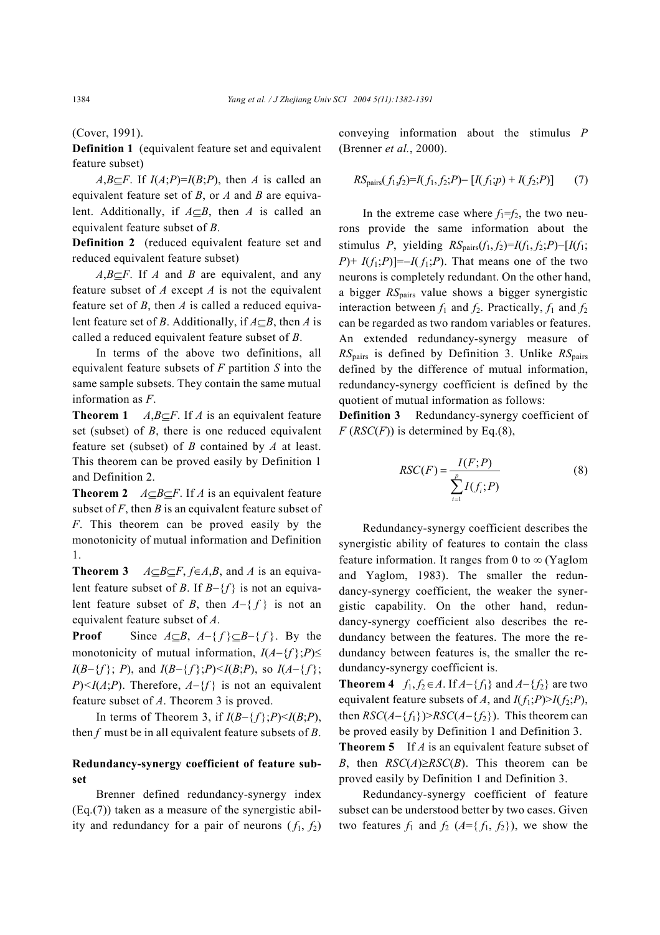(Cover, 1991).

**Definition 1** (equivalent feature set and equivalent feature subset)

*A*,*B*⊆*F*. If *I*(*A*;*P*)=*I*(*B*;*P*), then *A* is called an equivalent feature set of *B*, or *A* and *B* are equivalent. Additionally, if *A*⊆*B*, then *A* is called an equivalent feature subset of *B*.

**Definition 2** (reduced equivalent feature set and reduced equivalent feature subset)

*A*,*B*⊆*F*. If *A* and *B* are equivalent, and any feature subset of *A* except *A* is not the equivalent feature set of *B*, then *A* is called a reduced equivalent feature set of *B*. Additionally, if *A*⊆*B*, then *A* is called a reduced equivalent feature subset of *B*.

In terms of the above two definitions, all equivalent feature subsets of *F* partition *S* into the same sample subsets. They contain the same mutual information as *F*.

**Theorem 1**  $A, B \subseteq F$ . If *A* is an equivalent feature set (subset) of *B*, there is one reduced equivalent feature set (subset) of *B* contained by *A* at least. This theorem can be proved easily by Definition 1 and Definition 2.

**Theorem 2**  $A \subseteq B \subseteq F$ . If *A* is an equivalent feature subset of  $F$ , then  $B$  is an equivalent feature subset of *F*. This theorem can be proved easily by the monotonicity of mutual information and Definition 1.

**Theorem 3**  $A \subseteq B \subseteq F$ ,  $f \in A, B$ , and *A* is an equivalent feature subset of *B*. If *B*−{*f* } is not an equivalent feature subset of *B*, then  $A - \{f\}$  is not an equivalent feature subset of *A*.

**Proof** Since  $A \subseteq B$ ,  $A - \{f\} \subseteq B - \{f\}$ . By the monotonicity of mutual information, *I*(*A*−{*f* };*P*)≤ *I*(*B*−{*f* }; *P*), and *I*(*B*−{*f* }; *P*) $\lt$ *I*(*B*; *P*), so *I*(*A*−{*f* }; *P*) <*I*(*A*;*P*). Therefore, *A*−{*f*} is not an equivalent feature subset of *A*. Theorem 3 is proved.

In terms of Theorem 3, if *I*(*B*−{ *f* };*P*)<*I*(*B*;*P*), then *f* must be in all equivalent feature subsets of *B*.

## **Redundancy-synergy coefficient of feature subset**

Brenner defined redundancy-synergy index (Eq.(7)) taken as a measure of the synergistic ability and redundancy for a pair of neurons  $(f_1, f_2)$  conveying information about the stimulus *P*  (Brenner *et al.*, 2000).

$$
RS_{\text{pairs}}(f_1, f_2) = I(f_1, f_2; P) - [I(f_1; p) + I(f_2; P)] \tag{7}
$$

In the extreme case where  $f_1 = f_2$ , the two neurons provide the same information about the stimulus *P*, yielding  $RS_{pairs}(f_1, f_2)=I(f_1, f_2; P)-[I(f_1;$ *P*)+  $I(f_1; P)$ ]=−*I*(  $f_1$ ; *P*). That means one of the two neurons is completely redundant. On the other hand, a bigger *RS*pairs value shows a bigger synergistic interaction between  $f_1$  and  $f_2$ . Practically,  $f_1$  and  $f_2$ can be regarded as two random variables or features. An extended redundancy-synergy measure of *RS*pairs is defined by Definition 3. Unlike *RS*pairs defined by the difference of mutual information, redundancy-synergy coefficient is defined by the quotient of mutual information as follows:

**Definition 3** Redundancy-synergy coefficient of  $F(RSC(F))$  is determined by Eq.(8),

$$
RSC(F) = \frac{I(F;P)}{\sum_{i=1}^{p} I(f_i;P)}
$$
(8)

Redundancy-synergy coefficient describes the synergistic ability of features to contain the class feature information. It ranges from 0 to  $\infty$  (Yaglom and Yaglom, 1983). The smaller the redundancy-synergy coefficient, the weaker the synergistic capability. On the other hand, redundancy-synergy coefficient also describes the redundancy between the features. The more the redundancy between features is, the smaller the redundancy-synergy coefficient is.

**Theorem 4**  $f_1, f_2 \in A$ . If  $A - {f_1}$  and  $A - {f_2}$  are two equivalent feature subsets of *A*, and  $I(f_1; P) > I(f_2; P)$ , then  $RSC(A - \{f_1\}) > RSC(A - \{f_2\})$ . This theorem can be proved easily by Definition 1 and Definition 3.

**Theorem 5** If *A* is an equivalent feature subset of *B*, then  $RSC(A) \geq RSC(B)$ . This theorem can be proved easily by Definition 1 and Definition 3.

Redundancy-synergy coefficient of feature subset can be understood better by two cases. Given two features  $f_1$  and  $f_2$  ( $A = \{f_1, f_2\}$ ), we show the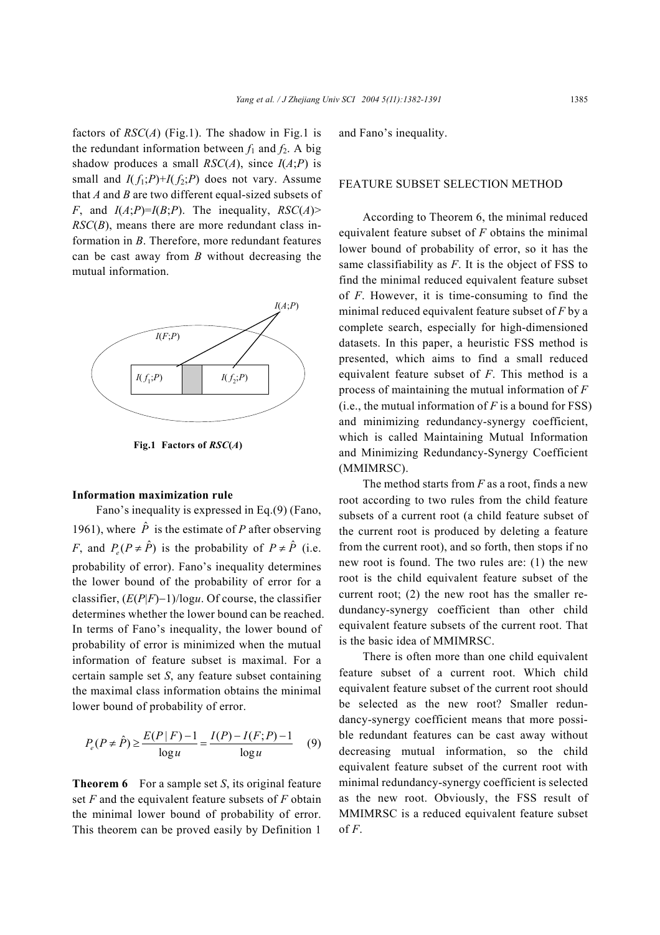factors of  $RSC(A)$  (Fig.1). The shadow in Fig.1 is the redundant information between  $f_1$  and  $f_2$ . A big shadow produces a small  $RSC(A)$ , since  $I(A;P)$  is small and  $I(f_1;P)+I(f_2;P)$  does not vary. Assume that *A* and *B* are two different equal-sized subsets of *F*, and  $I(A;P)=I(B;P)$ . The inequality,  $RSC(A)$ *RSC*(*B*), means there are more redundant class information in *B*. Therefore, more redundant features can be cast away from *B* without decreasing the mutual information.



**Fig.1 Factors of** *RSC***(***A***)**

#### **Information maximization rule**

Fano's inequality is expressed in Eq.(9) (Fano, 1961), where  $\hat{P}$  is the estimate of *P* after observing *F*, and  $P(P \neq \hat{P})$  is the probability of  $P \neq \hat{P}$  (i.e. probability of error). Fano's inequality determines the lower bound of the probability of error for a classifier, (*E*(*P*|*F*)−1)/log*u*. Of course, the classifier determines whether the lower bound can be reached. In terms of Fano's inequality, the lower bound of probability of error is minimized when the mutual information of feature subset is maximal. For a certain sample set *S*, any feature subset containing the maximal class information obtains the minimal lower bound of probability of error.

$$
P_e(P \neq \hat{P}) \ge \frac{E(P \mid F) - 1}{\log u} = \frac{I(P) - I(F; P) - 1}{\log u} \tag{9}
$$

**Theorem 6** For a sample set *S*, its original feature set *F* and the equivalent feature subsets of *F* obtain the minimal lower bound of probability of error. This theorem can be proved easily by Definition 1 and Fano's inequality.

#### FEATURE SUBSET SELECTION METHOD

According to Theorem 6, the minimal reduced equivalent feature subset of *F* obtains the minimal lower bound of probability of error, so it has the same classifiability as *F*. It is the object of FSS to find the minimal reduced equivalent feature subset of *F*. However, it is time-consuming to find the minimal reduced equivalent feature subset of *F* by a complete search, especially for high-dimensioned datasets. In this paper, a heuristic FSS method is presented, which aims to find a small reduced equivalent feature subset of *F*. This method is a process of maintaining the mutual information of *F*  (i.e., the mutual information of  $F$  is a bound for FSS) and minimizing redundancy-synergy coefficient, which is called Maintaining Mutual Information and Minimizing Redundancy-Synergy Coefficient (MMIMRSC).

The method starts from *F* as a root, finds a new root according to two rules from the child feature subsets of a current root (a child feature subset of the current root is produced by deleting a feature from the current root), and so forth, then stops if no new root is found. The two rules are: (1) the new root is the child equivalent feature subset of the current root; (2) the new root has the smaller redundancy-synergy coefficient than other child equivalent feature subsets of the current root. That is the basic idea of MMIMRSC.

There is often more than one child equivalent feature subset of a current root. Which child equivalent feature subset of the current root should be selected as the new root? Smaller redundancy-synergy coefficient means that more possible redundant features can be cast away without decreasing mutual information, so the child equivalent feature subset of the current root with minimal redundancy-synergy coefficient is selected as the new root. Obviously, the FSS result of MMIMRSC is a reduced equivalent feature subset of *F*.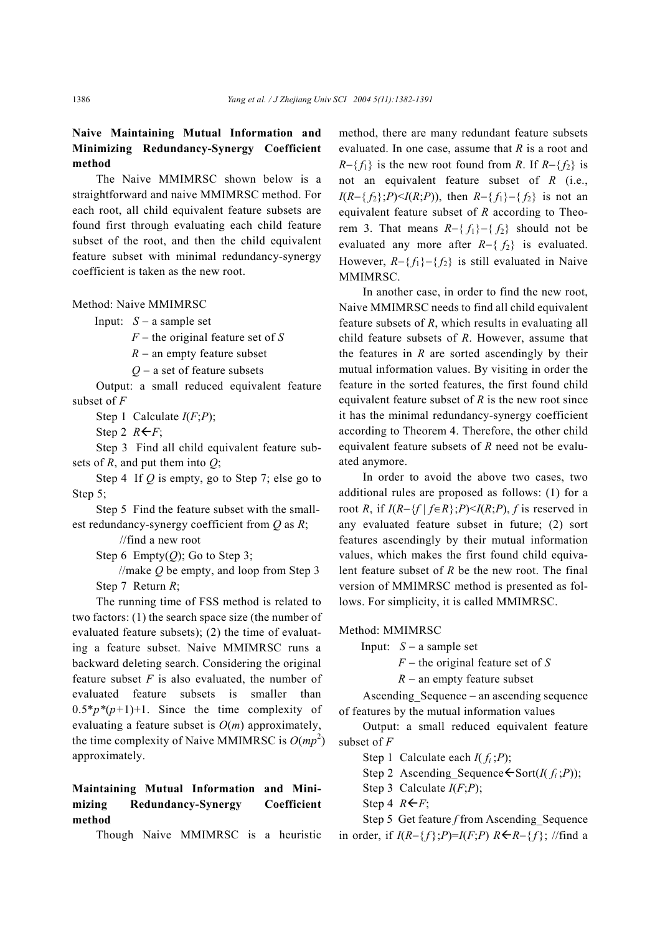# **Naive Maintaining Mutual Information and Minimizing Redundancy-Synergy Coefficient method**

The Naive MMIMRSC shown below is a straightforward and naive MMIMRSC method. For each root, all child equivalent feature subsets are found first through evaluating each child feature subset of the root, and then the child equivalent feature subset with minimal redundancy-synergy coefficient is taken as the new root.

Method: Naive MMIMRSC

Input: *S* − a sample set

*F* − the original feature set of *S*

*R* − an empty feature subset

*Q* − a set of feature subsets

Output: a small reduced equivalent feature subset of *F*

Step 1 Calculate *I*(*F*;*P*);

Step 2  $R \leftarrow F$ ;

Step 3 Find all child equivalent feature subsets of *R*, and put them into *Q*;

Step 4 If *Q* is empty, go to Step 7; else go to Step 5;

Step 5 Find the feature subset with the smallest redundancy-synergy coefficient from *Q* as *R*;

//find a new root

Step 6 Empty $(Q)$ ; Go to Step 3;

//make *Q* be empty, and loop from Step 3 Step 7 Return *R*;

The running time of FSS method is related to two factors: (1) the search space size (the number of evaluated feature subsets); (2) the time of evaluating a feature subset. Naive MMIMRSC runs a backward deleting search. Considering the original feature subset *F* is also evaluated, the number of evaluated feature subsets is smaller than  $0.5*p*(p+1)+1$ . Since the time complexity of evaluating a feature subset is *O*(*m*) approximately, the time complexity of Naive MMIMRSC is  $O(mp^2)$ approximately.

# **Maintaining Mutual Information and Minimizing Redundancy-Synergy Coefficient method**

Though Naive MMIMRSC is a heuristic

method, there are many redundant feature subsets evaluated. In one case, assume that *R* is a root and  $R-\{f_1\}$  is the new root found from *R*. If  $R-\{f_2\}$  is not an equivalent feature subset of *R* (i.e., *I*( $R - \{f_2\}$ ;*P*)<*I*( $R$ ;*P*)), then  $R - \{f_1\} - \{f_2\}$  is not an equivalent feature subset of *R* according to Theorem 3. That means  $R-\{f_1\}-\{f_2\}$  should not be evaluated any more after *R*−{ *f*2} is evaluated. However,  $R-\{f_1\}-\{f_2\}$  is still evaluated in Naive MMIMRSC.

In another case, in order to find the new root, Naive MMIMRSC needs to find all child equivalent feature subsets of *R*, which results in evaluating all child feature subsets of *R*. However, assume that the features in *R* are sorted ascendingly by their mutual information values. By visiting in order the feature in the sorted features, the first found child equivalent feature subset of *R* is the new root since it has the minimal redundancy-synergy coefficient according to Theorem 4. Therefore, the other child equivalent feature subsets of *R* need not be evaluated anymore.

In order to avoid the above two cases, two additional rules are proposed as follows: (1) for a root *R*, if  $I(R-\{f \mid f \in R\}; P) \leq I(R;P)$ , *f* is reserved in any evaluated feature subset in future; (2) sort features ascendingly by their mutual information values, which makes the first found child equivalent feature subset of *R* be the new root. The final version of MMIMRSC method is presented as follows. For simplicity, it is called MMIMRSC.

Method: MMIMRSC

Input:  $S - a$  sample set

*F* − the original feature set of *S*

*R* − an empty feature subset

Ascending\_Sequence − an ascending sequence of features by the mutual information values

Output: a small reduced equivalent feature subset of *F*

Step 1 Calculate each  $I(f_i; P)$ ;

Step 2 Ascending Sequence  $\leftarrow$  Sort(*I*(  $f_i$  ;*P*));

Step 3 Calculate *I*(*F*;*P*);

Step 4  $R \leftarrow F$ ;

Step 5 Get feature *f* from Ascending Sequence in order, if  $I(R-\{f\};P)=I(F;P)$   $R \leftarrow R-\{f\};$  //find a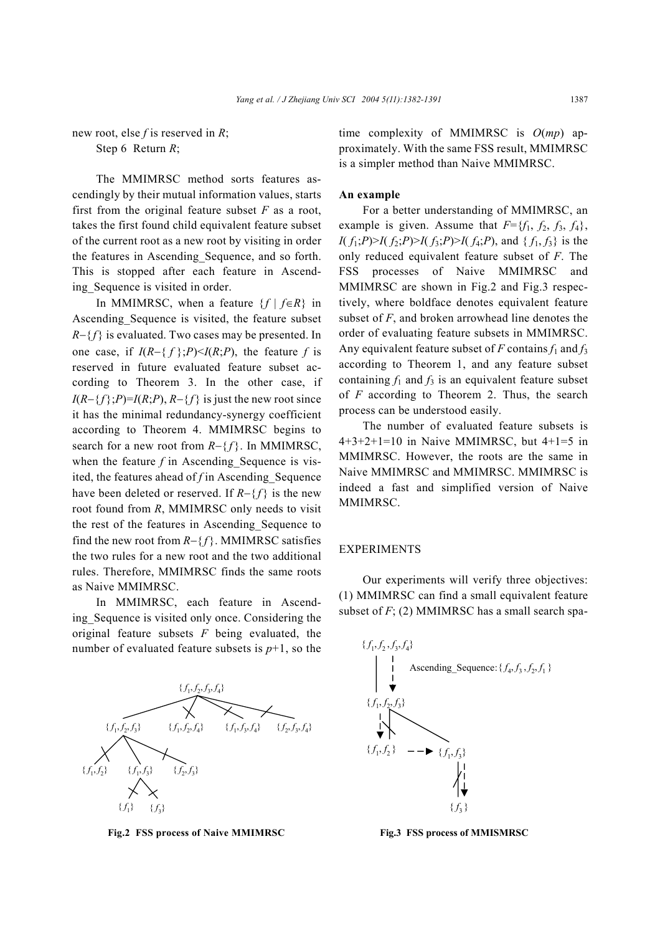new root, else *f* is reserved in *R*; Step 6 Return *R*;

The MMIMRSC method sorts features ascendingly by their mutual information values, starts first from the original feature subset  $F$  as a root, takes the first found child equivalent feature subset of the current root as a new root by visiting in order the features in Ascending\_Sequence, and so forth. This is stopped after each feature in Ascending\_Sequence is visited in order.

In MMIMRSC, when a feature  $\{f \mid f \in R\}$  in Ascending\_Sequence is visited, the feature subset *R*−{*f*} is evaluated. Two cases may be presented. In one case, if  $I(R-\{f\};P) \leq I(R;P)$ , the feature *f* is reserved in future evaluated feature subset according to Theorem 3. In the other case, if  $I(R-\{f\};P)=I(R;P), R-\{f\}$  is just the new root since it has the minimal redundancy-synergy coefficient according to Theorem 4. MMIMRSC begins to search for a new root from *R*−{ *f* }. In MMIMRSC, when the feature  $f$  in Ascending Sequence is visited, the features ahead of *f* in Ascending\_Sequence have been deleted or reserved. If *R*−{ *f* } is the new root found from *R*, MMIMRSC only needs to visit the rest of the features in Ascending\_Sequence to find the new root from *R*−{ *f* }. MMIMRSC satisfies the two rules for a new root and the two additional rules. Therefore, MMIMRSC finds the same roots as Naive MMIMRSC.

In MMIMRSC, each feature in Ascending Sequence is visited only once. Considering the original feature subsets *F* being evaluated, the number of evaluated feature subsets is  $p+1$ , so the



**Fig.2 FSS process of Naive MMIMRSC**

time complexity of MMIMRSC is *O*(*mp*) approximately. With the same FSS result, MMIMRSC is a simpler method than Naive MMIMRSC.

#### **An example**

For a better understanding of MMIMRSC, an example is given. Assume that  $F=\{f_1, f_2, f_3, f_4\}$ , *I*(  $f_1$ ; *P*)>*I*(  $f_2$ ; *P*)>*I*(  $f_3$ ; *P*)>*I*(  $f_4$ ; *P*), and {  $f_1$ ,  $f_3$ } is the only reduced equivalent feature subset of *F*. The FSS processes of Naive MMIMRSC and MMIMRSC are shown in Fig.2 and Fig.3 respectively, where boldface denotes equivalent feature subset of *F*, and broken arrowhead line denotes the order of evaluating feature subsets in MMIMRSC. Any equivalent feature subset of *F* contains  $f_1$  and  $f_3$ according to Theorem 1, and any feature subset containing  $f_1$  and  $f_3$  is an equivalent feature subset of *F* according to Theorem 2. Thus, the search process can be understood easily.

The number of evaluated feature subsets is  $4+3+2+1=10$  in Naive MMIMRSC, but  $4+1=5$  in MMIMRSC. However, the roots are the same in Naive MMIMRSC and MMIMRSC. MMIMRSC is indeed a fast and simplified version of Naive MMIMRSC.

### EXPERIMENTS

Our experiments will verify three objectives: (1) MMIMRSC can find a small equivalent feature subset of *F*; (2) MMIMRSC has a small search spa-



**Fig.3 FSS process of MMISMRSC**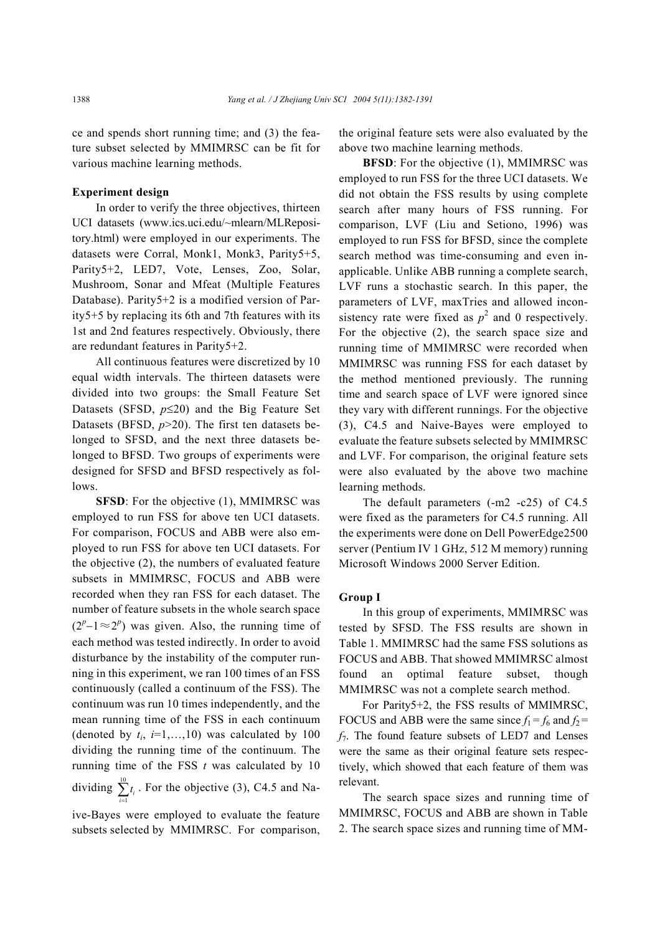ce and spends short running time; and (3) the feature subset selected by MMIMRSC can be fit for various machine learning methods.

#### **Experiment design**

In order to verify the three objectives, thirteen UCI datasets (www.ics.uci.edu/~mlearn/MLRepository.html) were employed in our experiments. The datasets were Corral, Monk1, Monk3, Parity5+5, Parity5+2, LED7, Vote, Lenses, Zoo, Solar, Mushroom, Sonar and Mfeat (Multiple Features Database). Parity5+2 is a modified version of Parity5+5 by replacing its 6th and 7th features with its 1st and 2nd features respectively. Obviously, there are redundant features in Parity5+2.

All continuous features were discretized by 10 equal width intervals. The thirteen datasets were divided into two groups: the Small Feature Set Datasets (SFSD, *p*≤20) and the Big Feature Set Datasets (BFSD, *p*>20). The first ten datasets belonged to SFSD, and the next three datasets belonged to BFSD. Two groups of experiments were designed for SFSD and BFSD respectively as follows.

**SFSD**: For the objective (1), MMIMRSC was employed to run FSS for above ten UCI datasets. For comparison, FOCUS and ABB were also employed to run FSS for above ten UCI datasets. For the objective (2), the numbers of evaluated feature subsets in MMIMRSC, FOCUS and ABB were recorded when they ran FSS for each dataset. The number of feature subsets in the whole search space  $(2<sup>p</sup>-1 \approx 2<sup>p</sup>)$  was given. Also, the running time of each method was tested indirectly. In order to avoid disturbance by the instability of the computer running in this experiment, we ran 100 times of an FSS continuously (called a continuum of the FSS). The continuum was run 10 times independently, and the mean running time of the FSS in each continuum (denoted by  $t_i$ ,  $i=1,...,10$ ) was calculated by 100 dividing the running time of the continuum. The running time of the FSS *t* was calculated by 10 dividing  $\sum_{n=1}^{\infty}$  $\sum_{i=1}^{l_i}$ *t*  $\sum_{i=1}^{n} t_i$ . For the objective (3), C4.5 and Na-

ive-Bayes were employed to evaluate the feature subsets selected by MMIMRSC. For comparison, the original feature sets were also evaluated by the above two machine learning methods.

**BFSD**: For the objective (1), MMIMRSC was employed to run FSS for the three UCI datasets. We did not obtain the FSS results by using complete search after many hours of FSS running. For comparison, LVF (Liu and Setiono, 1996) was employed to run FSS for BFSD, since the complete search method was time-consuming and even inapplicable. Unlike ABB running a complete search, LVF runs a stochastic search. In this paper, the parameters of LVF, maxTries and allowed inconsistency rate were fixed as  $p^2$  and 0 respectively. For the objective (2), the search space size and running time of MMIMRSC were recorded when MMIMRSC was running FSS for each dataset by the method mentioned previously. The running time and search space of LVF were ignored since they vary with different runnings. For the objective (3), C4.5 and Naive-Bayes were employed to evaluate the feature subsets selected by MMIMRSC and LVF. For comparison, the original feature sets were also evaluated by the above two machine learning methods.

The default parameters (-m2 -c25) of C4.5 were fixed as the parameters for C4.5 running. All the experiments were done on Dell PowerEdge2500 server (Pentium IV 1 GHz, 512 M memory) running Microsoft Windows 2000 Server Edition.

#### **Group I**

In this group of experiments, MMIMRSC was tested by SFSD. The FSS results are shown in Table 1. MMIMRSC had the same FSS solutions as FOCUS and ABB. That showed MMIMRSC almost found an optimal feature subset, though MMIMRSC was not a complete search method.

For Parity5+2, the FSS results of MMIMRSC, FOCUS and ABB were the same since  $f_1 = f_6$  and  $f_2 =$ *f*7. The found feature subsets of LED7 and Lenses were the same as their original feature sets respectively, which showed that each feature of them was relevant.

The search space sizes and running time of MMIMRSC, FOCUS and ABB are shown in Table 2. The search space sizes and running time of MM-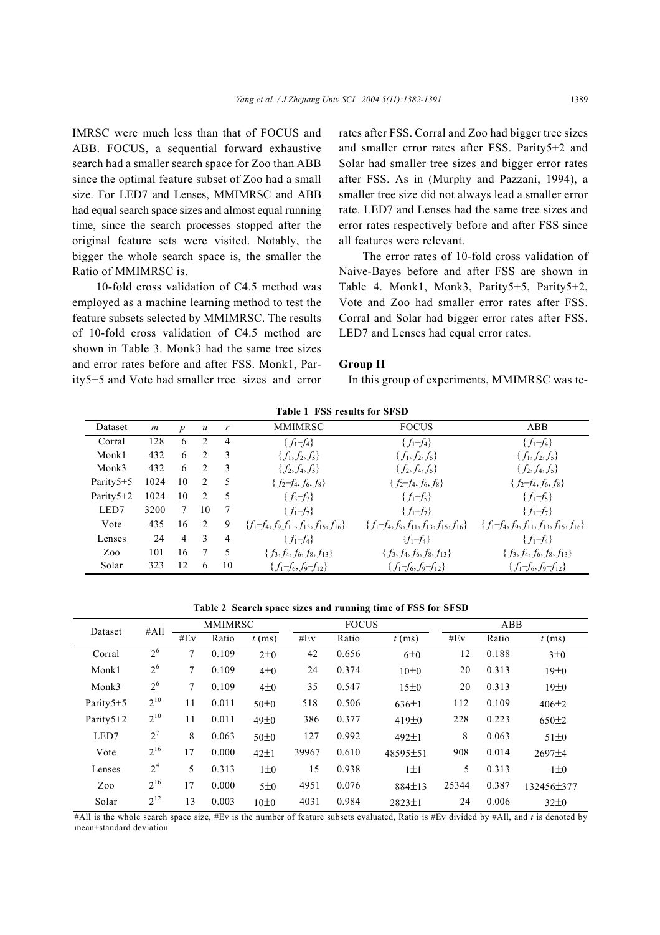IMRSC were much less than that of FOCUS and ABB. FOCUS, a sequential forward exhaustive search had a smaller search space for Zoo than ABB since the optimal feature subset of Zoo had a small size. For LED7 and Lenses, MMIMRSC and ABB had equal search space sizes and almost equal running time, since the search processes stopped after the original feature sets were visited. Notably, the bigger the whole search space is, the smaller the Ratio of MMIMRSC is.

10-fold cross validation of C4.5 method was employed as a machine learning method to test the feature subsets selected by MMIMRSC. The results of 10-fold cross validation of C4.5 method are shown in Table 3. Monk3 had the same tree sizes and error rates before and after FSS. Monk1, Parity5+5 and Vote had smaller tree sizes and error rates after FSS. Corral and Zoo had bigger tree sizes and smaller error rates after FSS. Parity5+2 and Solar had smaller tree sizes and bigger error rates after FSS. As in (Murphy and Pazzani, 1994), a smaller tree size did not always lead a smaller error rate. LED7 and Lenses had the same tree sizes and error rates respectively before and after FSS since all features were relevant.

The error rates of 10-fold cross validation of Naive-Bayes before and after FSS are shown in Table 4. Monk1, Monk3, Parity5+5, Parity5+2, Vote and Zoo had smaller error rates after FSS. Corral and Solar had bigger error rates after FSS. LED7 and Lenses had equal error rates.

#### **Group II**

In this group of experiments, MMIMRSC was te-

| Dataset    | m    | $\boldsymbol{p}$ | $\mathcal{U}$  |                | MMIMRSC                                       | <b>FOCUS</b>                                  | ABB                                           |
|------------|------|------------------|----------------|----------------|-----------------------------------------------|-----------------------------------------------|-----------------------------------------------|
| Corral     | 128  | 6                | 2              | 4              | ${f_1-f_4}$                                   | ${f_1-f_4}$                                   | ${f_1-f_4}$                                   |
| Monk1      | 432  | 6                | $\mathfrak{D}$ | -3             | $\{f_1, f_2, f_5\}$                           | $\{f_1, f_2, f_5\}$                           | $\{f_1, f_2, f_5\}$                           |
| Monk3      | 432  | 6                | 2              | 3              | $\{f_2, f_4, f_5\}$                           | $\{f_2, f_4, f_5\}$                           | $\{f_2, f_4, f_5\}$                           |
| Parity5+5  | 1024 | 10               | 2              | 5              | $\{f_2-f_4,f_6,f_8\}$                         | $\{f_2-f_4,f_6,f_8\}$                         | $\{f_2-f_4,f_6,f_8\}$                         |
| Parity 5+2 | 1024 | 10               | 2              | 5              | $\{f_3-f_7\}$                                 | ${f_1-f_5}$                                   | ${f_1-f_5}$                                   |
| LED7       | 3200 | 7                | 10             | 7              | $\{f_1-f_7\}$                                 | $\{f_1-f_7\}$                                 | $\{f_1-f_7\}$                                 |
| Vote       | 435  | 16               | 2              | 9              | $\{f_1-f_4,f_9,f_{11},f_{13},f_{15},f_{16}\}$ | $\{f_1-f_4,f_9,f_{11},f_{13},f_{15},f_{16}\}$ | $\{f_1-f_4,f_9,f_{11},f_{13},f_{15},f_{16}\}$ |
| Lenses     | 24   | $\overline{4}$   | 3              | $\overline{4}$ | $\{f_1-f_4\}$                                 | ${f_1-f_4}$                                   | $\{f_1-f_4\}$                                 |
| Zoo        | 101  | 16               | 7              | 5              | $\{f_3, f_4, f_6, f_8, f_{13}\}$              | $\{f_3, f_4, f_6, f_8, f_{13}\}$              | $\{f_3, f_4, f_6, f_8, f_{13}\}$              |
| Solar      | 323  | 12               | 6              | 10             | ${f_1-f_6,f_9-f_{12}}$                        | ${f_1-f_6,f_9-f_{12}}$                        | ${f_1-f_6,f_9-f_{12}}$                        |

**Table 1 FSS results for SFSD** 

**Table 2 Search space sizes and running time of FSS for SFSD** 

| Dataset   | #All           | <b>MMIMRSC</b> |       |            | <b>FOCUS</b> |       |              | ABB   |       |              |
|-----------|----------------|----------------|-------|------------|--------------|-------|--------------|-------|-------|--------------|
|           |                | #Ev            | Ratio | $t$ (ms)   | #Ev          | Ratio | $t$ (ms)     | #Ev   | Ratio | $t$ (ms)     |
| Corral    | 2 <sup>6</sup> | 7              | 0.109 | $2\pm 0$   | 42           | 0.656 | 6±0          | 12    | 0.188 | $3\pm 0$     |
| Monk1     | 2 <sup>6</sup> | 7              | 0.109 | $4\pm0$    | 24           | 0.374 | 10±0         | 20    | 0.313 | 19±0         |
| Monk3     | 2 <sup>6</sup> | 7              | 0.109 | $4\pm0$    | 35           | 0.547 | 15±0         | 20    | 0.313 | 19±0         |
| Parity5+5 | $2^{10}$       | 11             | 0.011 | 50±0       | 518          | 0.506 | $636 \pm 1$  | 112   | 0.109 | $406 \pm 2$  |
| Parity5+2 | $2^{10}$       | 11             | 0.011 | 49±0       | 386          | 0.377 | 419±0        | 228   | 0.223 | $650 \pm 2$  |
| LED7      | $2^7$          | 8              | 0.063 | $50\pm0$   | 127          | 0.992 | $492 \pm 1$  | 8     | 0.063 | $51\pm0$     |
| Vote      | $2^{16}$       | 17             | 0.000 | $42 \pm 1$ | 39967        | 0.610 | 48595±51     | 908   | 0.014 | $2697 \pm 4$ |
| Lenses    | 2 <sup>4</sup> | 5              | 0.313 | $1\pm 0$   | 15           | 0.938 | $1 \pm 1$    | 5     | 0.313 | $1\pm 0$     |
| Zoo       | $2^{16}$       | 17             | 0.000 | 5±0        | 4951         | 0.076 | $884 \pm 13$ | 25344 | 0.387 | 132456±377   |
| Solar     | $2^{12}$       | 13             | 0.003 | 10±0       | 4031         | 0.984 | $2823 \pm 1$ | 24    | 0.006 | $32\pm0$     |

#All is the whole search space size, #Ev is the number of feature subsets evaluated, Ratio is #Ev divided by #All, and *t* is denoted by mean±standard deviation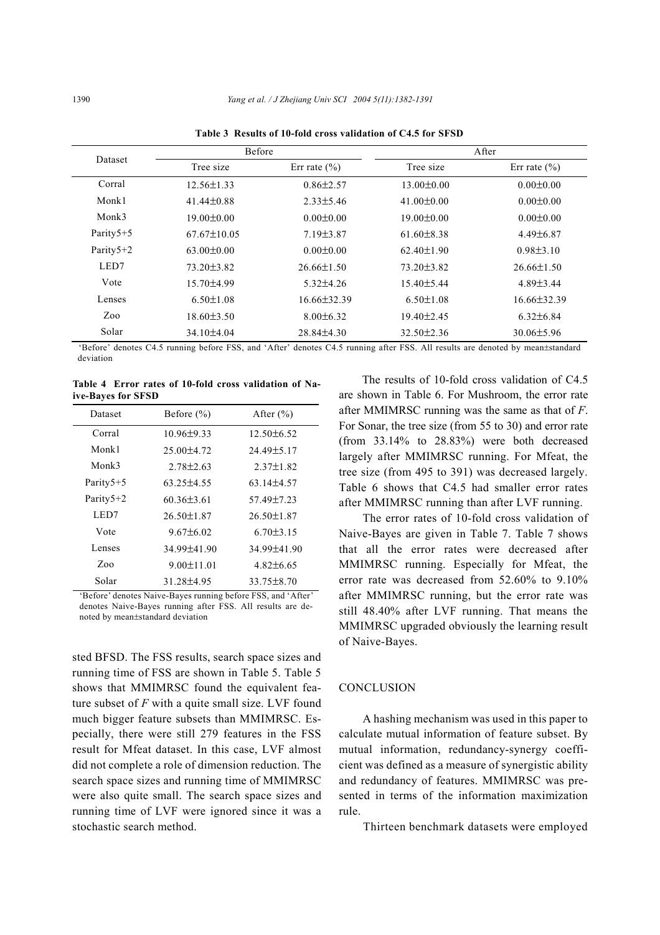|                | <b>Before</b>     |                  | After            |                  |  |  |
|----------------|-------------------|------------------|------------------|------------------|--|--|
| <b>Dataset</b> | Tree size         | Err rate $(\% )$ | Tree size        | Err rate $(\% )$ |  |  |
| Corral         | $12.56 \pm 1.33$  | $0.86 \pm 2.57$  | $13.00 \pm 0.00$ | $0.00 \pm 0.00$  |  |  |
| Monk1          | $41.44\pm0.88$    | $2.33\pm5.46$    | $41.00 \pm 0.00$ | $0.00 \pm 0.00$  |  |  |
| Monk3          | $19.00 \pm 0.00$  | $0.00 \pm 0.00$  | $19.00 \pm 0.00$ | $0.00 \pm 0.00$  |  |  |
| Parity5+5      | $67.67 \pm 10.05$ | $7.19\pm3.87$    | $61.60 \pm 8.38$ | $4.49\pm 6.87$   |  |  |
| Parity5+2      | $63.00 \pm 0.00$  | $0.00 \pm 0.00$  | $62.40 \pm 1.90$ | $0.98 \pm 3.10$  |  |  |
| LED7           | $73.20 \pm 3.82$  | $26.66\pm1.50$   | $73.20 \pm 3.82$ | $26.66 \pm 1.50$ |  |  |
| Vote           | $15.70\pm4.99$    | $5.32\pm4.26$    | $15.40 \pm 5.44$ | $4.89\pm3.44$    |  |  |
| Lenses         | $6.50 \pm 1.08$   | $16.66\pm32.39$  | $6.50 \pm 1.08$  | $16.66\pm32.39$  |  |  |
| Zoo            | $18.60 \pm 3.50$  | $8.00\pm6.32$    | $19.40 \pm 2.45$ | $6.32\pm6.84$    |  |  |
| Solar          | $34.10\pm4.04$    | $28.84\pm4.30$   | $32.50 \pm 2.36$ | $30.06 \pm 5.96$ |  |  |

**Table 3 Results of 10-fold cross validation of C4.5 for SFSD** 

'Before' denotes C4.5 running before FSS, and 'After' denotes C4.5 running after FSS. All results are denoted by mean±standard deviation

**Table 4 Error rates of 10-fold cross validation of Naive-Bayes for SFSD**

| Before $(\% )$    | After $(\% )$    |
|-------------------|------------------|
| $10.96 \pm 9.33$  | $12.50\pm 6.52$  |
| $25.00\pm4.72$    | $24.49 \pm 5.17$ |
| $2.78 \pm 2.63$   | $2.37 \pm 1.82$  |
| $63.25 \pm 4.55$  | $63.14\pm4.57$   |
| $60.36\pm3.61$    | 57.49 ± 7.23     |
| $26.50 \pm 1.87$  | $26.50 \pm 1.87$ |
| $967+602$         | $6.70\pm3.15$    |
| $34.99 \pm 41.90$ | 34.99 ± 41.90    |
| $9.00 \pm 11.01$  | $4.82\pm 6.65$   |
| $3128+495$        | $33.75 \pm 8.70$ |
|                   |                  |

'Before' denotes Naive-Bayes running before FSS, and 'After' denotes Naive-Bayes running after FSS. All results are denoted by mean±standard deviation

sted BFSD. The FSS results, search space sizes and running time of FSS are shown in Table 5. Table 5 shows that MMIMRSC found the equivalent feature subset of *F* with a quite small size. LVF found much bigger feature subsets than MMIMRSC. Especially, there were still 279 features in the FSS result for Mfeat dataset. In this case, LVF almost did not complete a role of dimension reduction. The search space sizes and running time of MMIMRSC were also quite small. The search space sizes and running time of LVF were ignored since it was a stochastic search method.

The results of 10-fold cross validation of C4.5 are shown in Table 6. For Mushroom, the error rate after MMIMRSC running was the same as that of *F*. For Sonar, the tree size (from 55 to 30) and error rate (from 33.14% to 28.83%) were both decreased largely after MMIMRSC running. For Mfeat, the tree size (from 495 to 391) was decreased largely. Table 6 shows that C4.5 had smaller error rates after MMIMRSC running than after LVF running.

The error rates of 10-fold cross validation of Naive-Bayes are given in Table 7. Table 7 shows that all the error rates were decreased after MMIMRSC running. Especially for Mfeat, the error rate was decreased from 52.60% to 9.10% after MMIMRSC running, but the error rate was still 48.40% after LVF running. That means the MMIMRSC upgraded obviously the learning result of Naive-Bayes.

#### **CONCLUSION**

A hashing mechanism was used in this paper to calculate mutual information of feature subset. By mutual information, redundancy-synergy coefficient was defined as a measure of synergistic ability and redundancy of features. MMIMRSC was presented in terms of the information maximization rule.

Thirteen benchmark datasets were employed